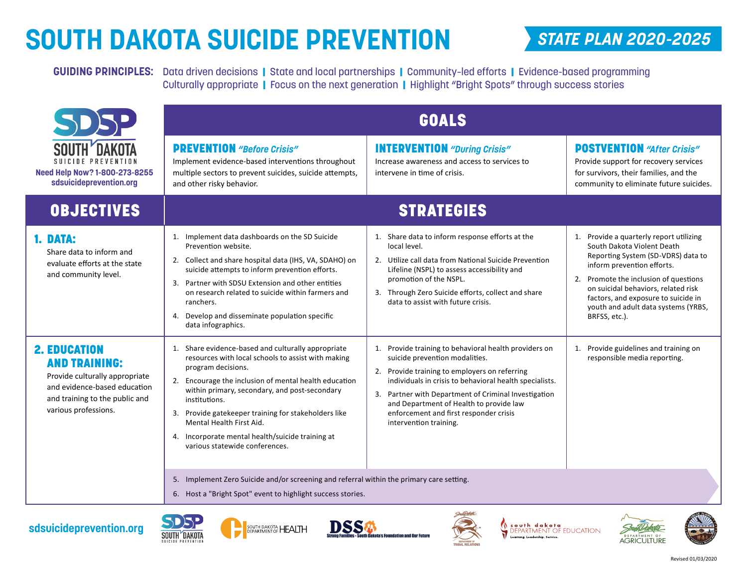## **SOUTH DAKOTA SUICIDE PREVENTION**

## *STATE PLAN 2020-2025*

**GUIDING PRINCIPLES:** Data driven decisions | State and local partnerships | Community–led efforts | Evidence-based programming Culturally appropriate | Focus on the next generation | Highlight "Bright Spots" through success stories

|                                                                                                                                                                         | <b>GOALS</b>                                                                                                                                                                                                                                                                                                                                                                                                                        |                                                                                                                                                                                                                                                                                                                                                                               |                                                                                                                                                                                                                                                                                                                          |  |
|-------------------------------------------------------------------------------------------------------------------------------------------------------------------------|-------------------------------------------------------------------------------------------------------------------------------------------------------------------------------------------------------------------------------------------------------------------------------------------------------------------------------------------------------------------------------------------------------------------------------------|-------------------------------------------------------------------------------------------------------------------------------------------------------------------------------------------------------------------------------------------------------------------------------------------------------------------------------------------------------------------------------|--------------------------------------------------------------------------------------------------------------------------------------------------------------------------------------------------------------------------------------------------------------------------------------------------------------------------|--|
| SUICIDE PREVENTION<br>Need Help Now? 1-800-273-8255<br>sdsuicideprevention.org                                                                                          | <b>PREVENTION</b> "Before Crisis"<br>Implement evidence-based interventions throughout<br>multiple sectors to prevent suicides, suicide attempts,<br>and other risky behavior.                                                                                                                                                                                                                                                      | <b>INTERVENTION</b> "During Crisis"<br>Increase awareness and access to services to<br>intervene in time of crisis.                                                                                                                                                                                                                                                           | <b>POSTVENTION</b> "After Crisis"<br>Provide support for recovery services<br>for survivors, their families, and the<br>community to eliminate future suicides.                                                                                                                                                          |  |
| <b>OBJECTIVES</b>                                                                                                                                                       | <b>STRATEGIES</b>                                                                                                                                                                                                                                                                                                                                                                                                                   |                                                                                                                                                                                                                                                                                                                                                                               |                                                                                                                                                                                                                                                                                                                          |  |
| 1. DATA:<br>Share data to inform and<br>evaluate efforts at the state<br>and community level.                                                                           | 1. Implement data dashboards on the SD Suicide<br>Prevention website.<br>2. Collect and share hospital data (IHS, VA, SDAHO) on<br>suicide attempts to inform prevention efforts.<br>3. Partner with SDSU Extension and other entities<br>on research related to suicide within farmers and<br>ranchers.<br>4. Develop and disseminate population specific<br>data infographics.                                                    | 1. Share data to inform response efforts at the<br>local level.<br>2. Utilize call data from National Suicide Prevention<br>Lifeline (NSPL) to assess accessibility and<br>promotion of the NSPL.<br>3. Through Zero Suicide efforts, collect and share<br>data to assist with future crisis.                                                                                 | 1. Provide a quarterly report utilizing<br>South Dakota Violent Death<br>Reporting System (SD-VDRS) data to<br>inform prevention efforts.<br>2. Promote the inclusion of questions<br>on suicidal behaviors, related risk<br>factors, and exposure to suicide in<br>youth and adult data systems (YRBS,<br>BRFSS, etc.). |  |
| <b>2. EDUCATION</b><br><b>AND TRAINING:</b><br>Provide culturally appropriate<br>and evidence-based education<br>and training to the public and<br>various professions. | 1. Share evidence-based and culturally appropriate<br>resources with local schools to assist with making<br>program decisions.<br>2. Encourage the inclusion of mental health education<br>within primary, secondary, and post-secondary<br>institutions.<br>3. Provide gatekeeper training for stakeholders like<br>Mental Health First Aid.<br>4. Incorporate mental health/suicide training at<br>various statewide conferences. | 1. Provide training to behavioral health providers on<br>suicide prevention modalities.<br>2. Provide training to employers on referring<br>individuals in crisis to behavioral health specialists.<br>Partner with Department of Criminal Investigation<br>3.<br>and Department of Health to provide law<br>enforcement and first responder crisis<br>intervention training. | 1. Provide guidelines and training on<br>responsible media reporting.                                                                                                                                                                                                                                                    |  |
|                                                                                                                                                                         | 5. Implement Zero Suicide and/or screening and referral within the primary care setting.<br>6. Host a "Bright Spot" event to highlight success stories.                                                                                                                                                                                                                                                                             |                                                                                                                                                                                                                                                                                                                                                                               |                                                                                                                                                                                                                                                                                                                          |  |









ota's Foundation and Our Future

**South dakota DEPARTMENT OF EDUCATION**